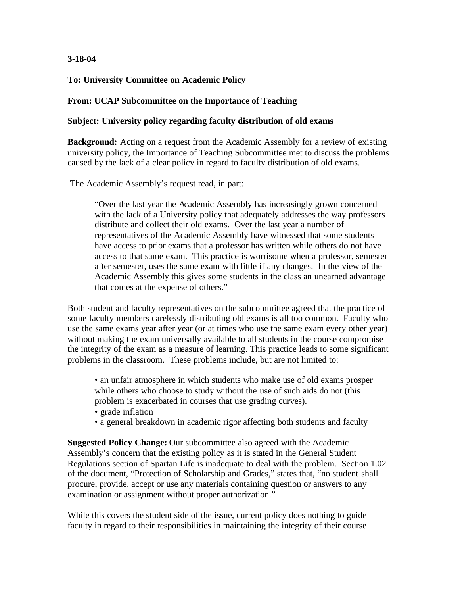# **3-18-04**

# **To: University Committee on Academic Policy**

#### **From: UCAP Subcommittee on the Importance of Teaching**

#### **Subject: University policy regarding faculty distribution of old exams**

**Background:** Acting on a request from the Academic Assembly for a review of existing university policy, the Importance of Teaching Subcommittee met to discuss the problems caused by the lack of a clear policy in regard to faculty distribution of old exams.

The Academic Assembly's request read, in part:

"Over the last year the Academic Assembly has increasingly grown concerned with the lack of a University policy that adequately addresses the way professors distribute and collect their old exams. Over the last year a number of representatives of the Academic Assembly have witnessed that some students have access to prior exams that a professor has written while others do not have access to that same exam. This practice is worrisome when a professor, semester after semester, uses the same exam with little if any changes. In the view of the Academic Assembly this gives some students in the class an unearned advantage that comes at the expense of others."

Both student and faculty representatives on the subcommittee agreed that the practice of some faculty members carelessly distributing old exams is all too common. Faculty who use the same exams year after year (or at times who use the same exam every other year) without making the exam universally available to all students in the course compromise the integrity of the exam as a measure of learning. This practice leads to some significant problems in the classroom. These problems include, but are not limited to:

• an unfair atmosphere in which students who make use of old exams prosper while others who choose to study without the use of such aids do not (this problem is exacerbated in courses that use grading curves).

- grade inflation
- a general breakdown in academic rigor affecting both students and faculty

**Suggested Policy Change:** Our subcommittee also agreed with the Academic Assembly's concern that the existing policy as it is stated in the General Student Regulations section of Spartan Life is inadequate to deal with the problem. Section 1.02 of the document, "Protection of Scholarship and Grades," states that, "no student shall procure, provide, accept or use any materials containing question or answers to any examination or assignment without proper authorization."

While this covers the student side of the issue, current policy does nothing to guide faculty in regard to their responsibilities in maintaining the integrity of their course